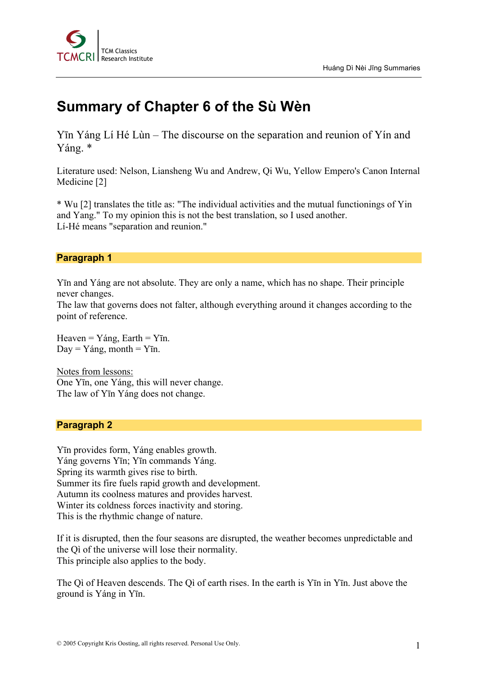

# **Summary of Chapter 6 of the Sù Wèn**

Yīn Yáng Lí Hé Lùn – The discourse on the separation and reunion of Yín and Yáng. \*

Literature used: Nelson, Liansheng Wu and Andrew, Qi Wu, Yellow Empero's Canon Internal Medicine [2]

\* Wu [2] translates the title as: "The individual activities and the mutual functionings of Yin and Yang." To my opinion this is not the best translation, so I used another. Lí-Hé means "separation and reunion."

# **Paragraph 1**

Yīn and Yáng are not absolute. They are only a name, which has no shape. Their principle never changes.

The law that governs does not falter, although everything around it changes according to the point of reference.

Heaven =  $Yáng$ , Earth =  $Yin$ .  $Day = Yáng$ , month =  $YIn$ .

Notes from lessons: One Yīn, one Yáng, this will never change. The law of Yīn Yáng does not change.

# **Paragraph 2**

Yīn provides form, Yáng enables growth. Yáng governs Yīn; Yīn commands Yáng. Spring its warmth gives rise to birth. Summer its fire fuels rapid growth and development. Autumn its coolness matures and provides harvest. Winter its coldness forces inactivity and storing. This is the rhythmic change of nature.

If it is disrupted, then the four seasons are disrupted, the weather becomes unpredictable and the Qì of the universe will lose their normality. This principle also applies to the body.

The Qì of Heaven descends. The Qì of earth rises. In the earth is Yīn in Yīn. Just above the ground is Yáng in Yīn.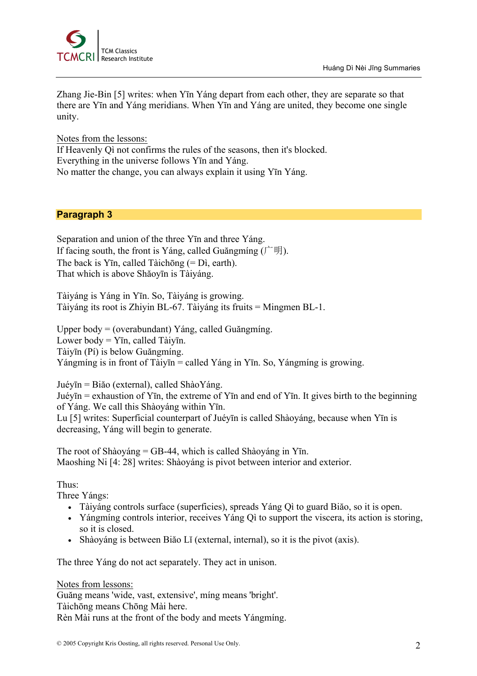

Zhang Jie-Bin [5] writes: when Yīn Yáng depart from each other, they are separate so that there are Yīn and Yáng meridians. When Yīn and Yáng are united, they become one single unity.

Notes from the lessons: If Heavenly Qì not confirms the rules of the seasons, then it's blocked. Everything in the universe follows Yīn and Yáng. No matter the change, you can always explain it using Yīn Yáng.

# **Paragraph 3**

Separation and union of the three Yīn and three Yáng. If facing south, the front is Yáng, called Guăngmíng  $(\uparrow \boxplus \uplus)$ . The back is Yīn, called Tàichōng (= Dì, earth). That which is above Shăoyīn is Tàiyáng.

Tàiyáng is Yáng in Yīn. So, Tàiyáng is growing. Tàiyáng its root is Zhiyin BL-67. Tàiyáng its fruits = Mingmen BL-1.

Upper body = (overabundant) Yáng, called Guăngmíng. Lower body = Yīn, called Tàiyīn. Tàiyīn (Pí) is below Guăngmíng. Yángmíng is in front of Tàiyīn = called Yáng in Yīn. So, Yángmíng is growing.

Juéyīn = Biăo (external), called ShàoYáng. Juéyīn = exhaustion of Yīn, the extreme of Yīn and end of Yīn. It gives birth to the beginning of Yáng. We call this Shàoyáng within Yīn.

Lu [5] writes: Superficial counterpart of Juéyīn is called Shàoyáng, because when Yīn is decreasing, Yáng will begin to generate.

The root of Shàoyáng = GB-44, which is called Shàoyáng in Yīn. Maoshing Ni [4: 28] writes: Shàoyáng is pivot between interior and exterior.

# Thus:

Three Yángs:

- Tàiyáng controls surface (superficies), spreads Yáng Qì to guard Biăo, so it is open.
- Yángmíng controls interior, receives Yáng Qì to support the viscera, its action is storing, so it is closed.
- Shàoyáng is between Biăo Lĭ (external, internal), so it is the pivot (axis).

The three Yáng do not act separately. They act in unison.

Notes from lessons: Guăng means 'wide, vast, extensive', míng means 'bright'. Tàichōng means Chōng Mài here. Rèn Mài runs at the front of the body and meets Yángmíng.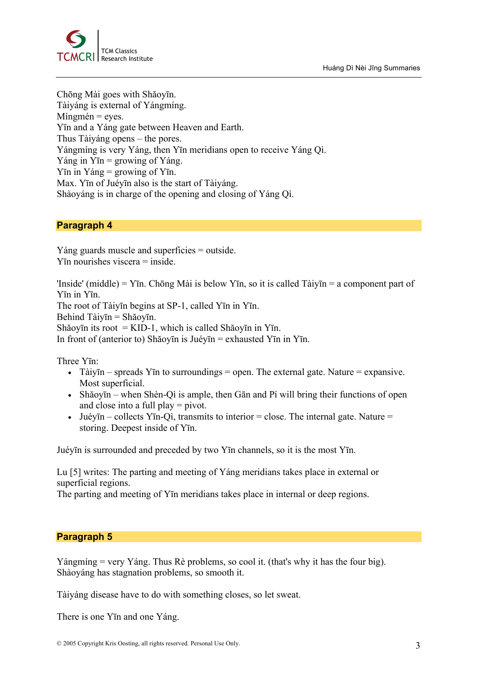

Chōng Mài goes with Shăoyīn. Tàiyáng is external of Yángmíng.  $M$ íngmén = eyes. Yīn and a Yáng gate between Heaven and Earth. Thus Tàiyáng opens – the pores. Yángmíng is very Yáng, then Yīn meridians open to receive Yáng Qì. Yáng in Yīn = growing of Yáng. Yīn in Yáng = growing of Yīn. Max. Yīn of Juéyīn also is the start of Tàiyáng. Shàoyáng is in charge of the opening and closing of Yáng Qì.

#### **Paragraph 4**

Yáng guards muscle and superficies = outside.  $Y$ <del>n</del> nourishes viscera  $=$  inside.

'Inside' (middle) = Yīn. Chōng Mài is below Yīn, so it is called Tàiyīn = a component part of Yīn in Yīn. The root of Tàiyīn begins at SP-1, called Yīn in Yīn. Behind Tàiyīn = Shăoyīn. Shăoyīn its root = KID-1, which is called Shăoyīn in Yīn. In front of (anterior to) Shăoyīn is Juéyīn = exhausted Yīn in Yīn.

Three Yīn:

- Tàiyīn spreads Yīn to surroundings = open. The external gate. Nature = expansive. Most superficial.
- Shăoyīn when Shèn-Qì is ample, then Gān and Pí will bring their functions of open and close into a full play = pivot.
- Juéyīn collects Yīn-Qì, transmits to interior = close. The internal gate. Nature = storing. Deepest inside of Yīn.

Juéyīn is surrounded and preceded by two Yīn channels, so it is the most Yīn.

Lu [5] writes: The parting and meeting of Yáng meridians takes place in external or superficial regions.

The parting and meeting of Yīn meridians takes place in internal or deep regions.

#### **Paragraph 5**

Yángmíng = very Yáng. Thus Rè problems, so cool it. (that's why it has the four big). Shàoyáng has stagnation problems, so smooth it.

Tàiyáng disease have to do with something closes, so let sweat.

There is one Yīn and one Yáng.